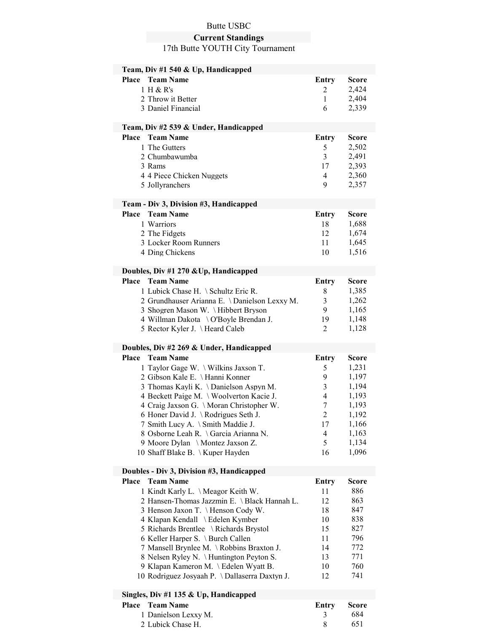# Butte USBC

#### Current Standings

17th Butte YOUTH City Tournament

| Team, Div #1 540 & Up, Handicapped                |                   |                |
|---------------------------------------------------|-------------------|----------------|
| <b>Team Name</b><br>Place                         | <b>Entry</b>      | <b>Score</b>   |
| 1 H & R's                                         | $\overline{2}$    | 2,424          |
| 2 Throw it Better                                 | $\mathbf{1}$      | 2,404          |
| 3 Daniel Financial                                | 6                 | 2,339          |
|                                                   |                   |                |
| Team, Div #2 539 & Under, Handicapped             |                   |                |
| <b>Team Name</b><br>Place                         | Entry             | <b>Score</b>   |
| 1 The Gutters                                     | 5                 | 2,502          |
| 2 Chumbawumba                                     | 3                 | 2,491          |
| 3 Rams                                            | 17                | 2,393          |
| 4 4 Piece Chicken Nuggets                         | 4                 | 2,360          |
| 5 Jollyranchers                                   | 9                 | 2,357          |
|                                                   |                   |                |
| Team - Div 3, Division #3, Handicapped            |                   |                |
| Place<br><b>Team Name</b>                         | Entry             | Score          |
| 1 Warriors                                        | 18                | 1,688          |
| 2 The Fidgets                                     | 12                | 1,674          |
| 3 Locker Room Runners                             | 11                | 1,645          |
| 4 Ding Chickens                                   | 10                | 1,516          |
|                                                   |                   |                |
| Doubles, Div #1 270 & Up, Handicapped             |                   |                |
| <b>Team Name</b><br>Place                         | Entry             | <b>Score</b>   |
| 1 Lubick Chase H. \ Schultz Eric R.               | 8                 | 1,385          |
| 2 Grundhauser Arianna E. \Danielson Lexxy M.      | 3                 | 1,262          |
| 3 Shogren Mason W. \Hibbert Bryson                | 9                 | 1,165          |
| 4 Willman Dakota \ O'Boyle Brendan J.             | 19<br>2           | 1,148<br>1,128 |
| 5 Rector Kyler J. \Heard Caleb                    |                   |                |
| Doubles, Div #2 269 & Under, Handicapped          |                   |                |
| Place<br><b>Team Name</b>                         | <b>Entry</b>      | <b>Score</b>   |
| 1 Taylor Gage W. \ Wilkins Jaxson T.              | 5                 | 1,231          |
| 2 Gibson Kale E. \Hanni Konner                    | 9                 | 1,197          |
| 3 Thomas Kayli K. \Danielson Aspyn M.             | 3                 | 1,194          |
| 4 Beckett Paige M. \ Woolverton Kacie J.          | 4                 | 1,193          |
| 4 Craig Jaxson G. \Moran Christopher W.           | 7                 | 1,193          |
| 6 Honer David J. \ Rodrigues Seth J.              | $\overline{2}$    | 1,192          |
| 7 Smith Lucy A. \ Smith Maddie J.                 | 17                | 1,166          |
| 8 Osborne Leah R. \ Garcia Arianna N.             | 4                 | 1,163          |
| 9 Moore Dylan \ Montez Jaxson Z.                  | 5                 | 1,134          |
| 10 Shaff Blake B. \ Kuper Hayden                  | 16                | 1,096          |
|                                                   |                   |                |
| Doubles - Div 3, Division #3, Handicapped         |                   |                |
|                                                   |                   |                |
| <b>Place</b><br><b>Team Name</b>                  | <b>Entry</b>      | <b>Score</b>   |
| 1 Kindt Karly L. \ Meagor Keith W.                | 11                | 886            |
| 2 Hansen-Thomas Jazzmin E. \ Black Hannah L.      | 12                | 863            |
| 3 Henson Jaxon T. \Henson Cody W.                 | 18                | 847            |
| 4 Klapan Kendall \ Edelen Kymber                  | 10                | 838            |
| 5 Richards Brentlee \ Richards Brystol            | 15                | 827            |
| 6 Keller Harper S. \ Burch Callen                 | 11                | 796            |
| 7 Mansell Brynlee M. \Robbins Braxton J.          | 14                | 772            |
| 8 Nelsen Ryley N. \ Huntington Peyton S.          | 13                | 771            |
| 9 Klapan Kameron M. \ Edelen Wyatt B.             | 10                | 760            |
| 10 Rodriguez Josyaah P. \Dallaserra Daxtyn J.     | 12                | 741            |
|                                                   |                   |                |
| Singles, Div #1 135 & Up, Handicapped             |                   |                |
| Place<br><b>Team Name</b><br>1 Danielson Lexxy M. | <b>Entry</b><br>3 | Score<br>684   |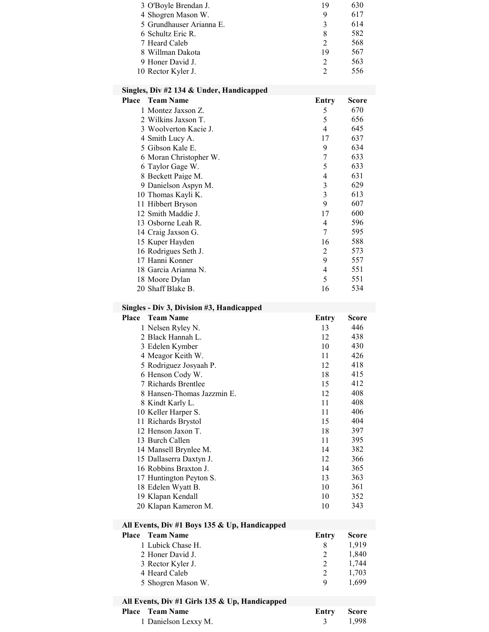| 3 O'Boyle Brendan J.     | 19            | 630 |
|--------------------------|---------------|-----|
| 4 Shogren Mason W.       | 9             | 617 |
| 5 Grundhauser Arianna E. | 3             | 614 |
| 6 Schultz Eric R.        | 8             | 582 |
| 7 Heard Caleb            | $\mathcal{D}$ | 568 |
| 8 Willman Dakota         | 19            | 567 |
| 9 Honer David J.         | $\mathcal{D}$ | 563 |
| 10 Rector Kyler J.       |               | 556 |

## Singles, Div #2 134 & Under, Handicapped

| Place | <b>Team Name</b>       | Entry                       | Score |
|-------|------------------------|-----------------------------|-------|
|       | 1 Montez Jaxson Z.     | 5                           | 670   |
|       | 2 Wilkins Jaxson T.    | 5                           | 656   |
|       | 3 Woolverton Kacie J.  | 4                           | 645   |
|       | 4 Smith Lucy A.        | 17                          | 637   |
|       | 5 Gibson Kale E.       | 9                           | 634   |
|       | 6 Moran Christopher W. | 7                           | 633   |
|       | 6 Taylor Gage W.       | 5                           | 633   |
|       | 8 Beckett Paige M.     | 4                           | 631   |
|       | 9 Danielson Aspyn M.   | 3                           | 629   |
|       | 10 Thomas Kayli K.     | 3                           | 613   |
|       | 11 Hibbert Bryson      | 9                           | 607   |
|       | 12 Smith Maddie J.     | 17                          | 600   |
|       | 13 Osborne Leah R.     | 4                           | 596   |
|       | 14 Craig Jaxson G.     | 7                           | 595   |
|       | 15 Kuper Hayden        | 16                          | 588   |
|       | 16 Rodrigues Seth J.   | $\mathcal{D}_{\mathcal{L}}$ | 573   |
|       | 17 Hanni Konner        | 9                           | 557   |
|       | 18 Garcia Arianna N.   | 4                           | 551   |
|       | 18 Moore Dylan         | 5                           | 551   |
|       | 20 Shaff Blake B.      | 16                          | 534   |

### Singles - Div 3, Division #3, Handicapped

| Place | <b>Team Name</b>           | Entry | Score |
|-------|----------------------------|-------|-------|
|       | 1 Nelsen Ryley N.          | 13    | 446   |
|       | 2 Black Hannah L.          | 12    | 438   |
|       | 3 Edelen Kymber            | 10    | 430   |
|       | 4 Meagor Keith W.          | 11    | 426   |
|       | 5 Rodriguez Josyaah P.     | 12    | 418   |
|       | 6 Henson Cody W.           | 18    | 415   |
|       | 7 Richards Brentlee        | 15    | 412   |
|       | 8 Hansen-Thomas Jazzmin E. | 12    | 408   |
|       | 8 Kindt Karly L.           | 11    | 408   |
|       | 10 Keller Harper S.        | 11    | 406   |
|       | 11 Richards Brystol        | 15    | 404   |
|       | 12 Henson Jaxon T.         | 18    | 397   |
|       | 13 Burch Callen            | 11    | 395   |
|       | 14 Mansell Brynlee M.      | 14    | 382   |
|       | 15 Dallaserra Daxtyn J.    | 12    | 366   |
|       | 16 Robbins Braxton J.      | 14    | 365   |
|       | 17 Huntington Peyton S.    | 13    | 363   |
|       | 18 Edelen Wyatt B.         | 10    | 361   |
|       | 19 Klapan Kendall          | 10    | 352   |
|       | 20 Klapan Kameron M.       | 10    | 343   |

## All Events, Div #1 Boys 135 & Up, Handicapped

| Place Team Name |                    | Entry | <b>Score</b> |
|-----------------|--------------------|-------|--------------|
|                 | 1 Lubick Chase H.  |       | 1.919        |
|                 | 2 Honer David J.   |       | 1.840        |
|                 | 3 Rector Kyler J.  |       | 1.744        |
|                 | 4 Heard Caleb      |       | 1.703        |
|                 | 5 Shogren Mason W. | Q     | 1.699        |

### All Events, Div #1 Girls 135 & Up, Handicapped

| <b>Place</b> Team Name |  | Entry Score |  |
|------------------------|--|-------------|--|
| 1 Danielson Lexxy M.   |  | 3 1.998     |  |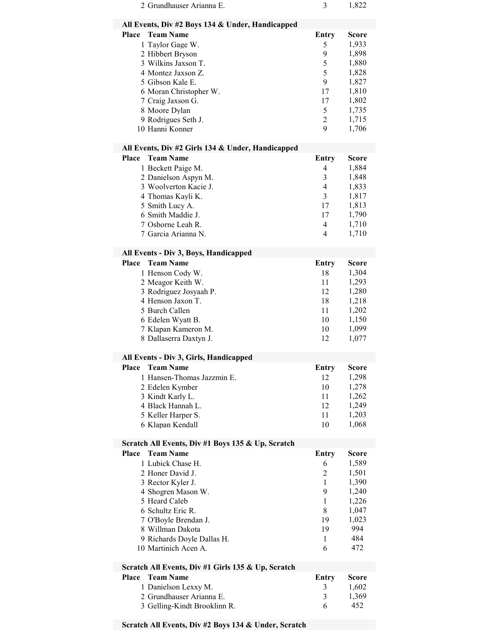| 2 Grundhauser Arianna E.                                                                                                                                                                                                                              | 3                                                                                                          | 1,822                                                                                                  |
|-------------------------------------------------------------------------------------------------------------------------------------------------------------------------------------------------------------------------------------------------------|------------------------------------------------------------------------------------------------------------|--------------------------------------------------------------------------------------------------------|
| All Events, Div #2 Boys 134 & Under, Handicapped                                                                                                                                                                                                      |                                                                                                            |                                                                                                        |
| <b>Team Name</b><br><b>Place</b><br>1 Taylor Gage W.<br>2 Hibbert Bryson<br>3 Wilkins Jaxson T.<br>4 Montez Jaxson Z.<br>5 Gibson Kale E.<br>6 Moran Christopher W.<br>7 Craig Jaxson G.<br>8 Moore Dylan<br>9 Rodrigues Seth J.<br>10 Hanni Konner   | <b>Entry</b><br>5<br>9<br>5<br>5<br>9<br>17<br>17<br>5<br>$\overline{2}$<br>9                              | <b>Score</b><br>1,933<br>1,898<br>1,880<br>1,828<br>1,827<br>1,810<br>1,802<br>1,735<br>1,715<br>1,706 |
| All Events, Div #2 Girls 134 & Under, Handicapped                                                                                                                                                                                                     |                                                                                                            |                                                                                                        |
| Place<br><b>Team Name</b><br>1 Beckett Paige M.<br>2 Danielson Aspyn M.<br>3 Woolverton Kacie J.<br>4 Thomas Kayli K.<br>5 Smith Lucy A.<br>6 Smith Maddie J.<br>7 Osborne Leah R.<br>7 Garcia Arianna N.                                             | <b>Entry</b><br>4<br>3<br>$\overline{4}$<br>$\overline{3}$<br>17<br>17<br>$\overline{4}$<br>$\overline{4}$ | <b>Score</b><br>1,884<br>1,848<br>1,833<br>1,817<br>1,813<br>1,790<br>1,710<br>1,710                   |
| All Events - Div 3, Boys, Handicapped                                                                                                                                                                                                                 |                                                                                                            |                                                                                                        |
| Place<br><b>Team Name</b><br>1 Henson Cody W.<br>2 Meagor Keith W.<br>3 Rodriguez Josyaah P.<br>4 Henson Jaxon T.<br>5 Burch Callen<br>6 Edelen Wyatt B.<br>7 Klapan Kameron M.<br>8 Dallaserra Daxtyn J.                                             | Entry<br>18<br>11<br>12<br>18<br>11<br>10<br>10<br>12                                                      | <b>Score</b><br>1,304<br>1,293<br>1,280<br>1,218<br>1,202<br>1,150<br>1,099<br>1,077                   |
| All Events - Div 3, Girls, Handicapped                                                                                                                                                                                                                |                                                                                                            |                                                                                                        |
| Place<br><b>Team Name</b><br>1 Hansen-Thomas Jazzmin E.<br>2 Edelen Kymber<br>3 Kindt Karly L.<br>4 Black Hannah L.<br>5 Keller Harper S.<br>6 Klapan Kendall                                                                                         | <b>Entry</b><br>12<br>10<br>11<br>12<br>11<br>10                                                           | Score<br>1,298<br>1,278<br>1,262<br>1,249<br>1,203<br>1,068                                            |
| Scratch All Events, Div #1 Boys 135 & Up, Scratch                                                                                                                                                                                                     |                                                                                                            |                                                                                                        |
| <b>Team Name</b><br>Place<br>1 Lubick Chase H.<br>2 Honer David J.<br>3 Rector Kyler J.<br>4 Shogren Mason W.<br>5 Heard Caleb<br>6 Schultz Eric R.<br>7 O'Boyle Brendan J.<br>8 Willman Dakota<br>9 Richards Doyle Dallas H.<br>10 Martinich Acen A. | <b>Entry</b><br>6<br>$\overline{2}$<br>1<br>9<br>1<br>8<br>19<br>19<br>1<br>6                              | <b>Score</b><br>1,589<br>1,501<br>1,390<br>1,240<br>1,226<br>1,047<br>1,023<br>994<br>484<br>472       |
| Scratch All Events, Div #1 Girls 135 & Up, Scratch                                                                                                                                                                                                    |                                                                                                            |                                                                                                        |
| <b>Team Name</b><br>Place<br>1 Danielson Lexxy M.<br>2 Grundhauser Arianna E.<br>3 Gelling-Kindt Brooklinn R.                                                                                                                                         | <b>Entry</b><br>3<br>3<br>6                                                                                | <b>Score</b><br>1,602<br>1,369<br>452                                                                  |

# Scratch All Events, Div #2 Boys 134 & Under, Scratch